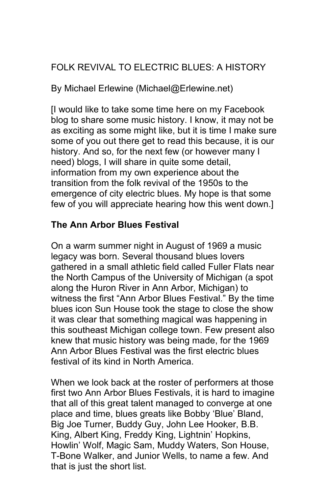# FOLK REVIVAL TO ELECTRIC BLUES: A HISTORY

By Michael Erlewine (Michael@Erlewine.net)

[I would like to take some time here on my Facebook blog to share some music history. I know, it may not be as exciting as some might like, but it is time I make sure some of you out there get to read this because, it is our history. And so, for the next few (or however many I need) blogs, I will share in quite some detail, information from my own experience about the transition from the folk revival of the 1950s to the emergence of city electric blues. My hope is that some few of you will appreciate hearing how this went down.]

# **The Ann Arbor Blues Festival**

On a warm summer night in August of 1969 a music legacy was born. Several thousand blues lovers gathered in a small athletic field called Fuller Flats near the North Campus of the University of Michigan (a spot along the Huron River in Ann Arbor, Michigan) to witness the first "Ann Arbor Blues Festival." By the time blues icon Sun House took the stage to close the show it was clear that something magical was happening in this southeast Michigan college town. Few present also knew that music history was being made, for the 1969 Ann Arbor Blues Festival was the first electric blues festival of its kind in North America.

When we look back at the roster of performers at those first two Ann Arbor Blues Festivals, it is hard to imagine that all of this great talent managed to converge at one place and time, blues greats like Bobby 'Blue' Bland, Big Joe Turner, Buddy Guy, John Lee Hooker, B.B. King, Albert King, Freddy King, Lightnin' Hopkins, Howlin' Wolf, Magic Sam, Muddy Waters, Son House, T-Bone Walker, and Junior Wells, to name a few. And that is just the short list.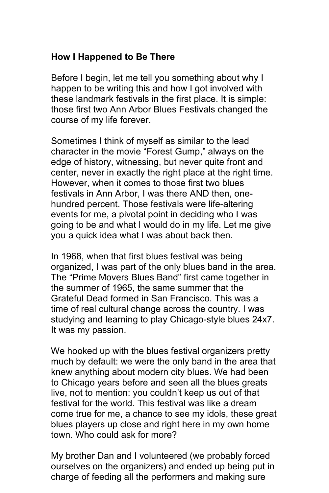## **How I Happened to Be There**

Before I begin, let me tell you something about why I happen to be writing this and how I got involved with these landmark festivals in the first place. It is simple: those first two Ann Arbor Blues Festivals changed the course of my life forever.

Sometimes I think of myself as similar to the lead character in the movie "Forest Gump," always on the edge of history, witnessing, but never quite front and center, never in exactly the right place at the right time. However, when it comes to those first two blues festivals in Ann Arbor, I was there AND then, onehundred percent. Those festivals were life-altering events for me, a pivotal point in deciding who I was going to be and what I would do in my life. Let me give you a quick idea what I was about back then.

In 1968, when that first blues festival was being organized, I was part of the only blues band in the area. The "Prime Movers Blues Band" first came together in the summer of 1965, the same summer that the Grateful Dead formed in San Francisco. This was a time of real cultural change across the country. I was studying and learning to play Chicago-style blues 24x7. It was my passion.

We hooked up with the blues festival organizers pretty much by default: we were the only band in the area that knew anything about modern city blues. We had been to Chicago years before and seen all the blues greats live, not to mention: you couldn't keep us out of that festival for the world. This festival was like a dream come true for me, a chance to see my idols, these great blues players up close and right here in my own home town. Who could ask for more?

My brother Dan and I volunteered (we probably forced ourselves on the organizers) and ended up being put in charge of feeding all the performers and making sure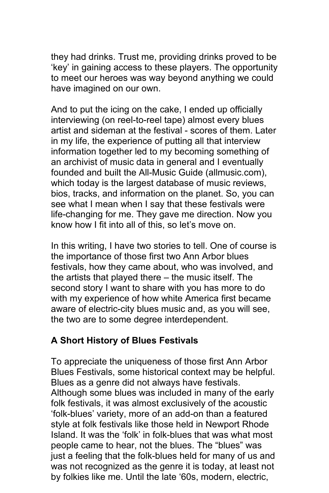they had drinks. Trust me, providing drinks proved to be 'key' in gaining access to these players. The opportunity to meet our heroes was way beyond anything we could have imagined on our own.

And to put the icing on the cake, I ended up officially interviewing (on reel-to-reel tape) almost every blues artist and sideman at the festival - scores of them. Later in my life, the experience of putting all that interview information together led to my becoming something of an archivist of music data in general and I eventually founded and built the All-Music Guide (allmusic.com), which today is the largest database of music reviews, bios, tracks, and information on the planet. So, you can see what I mean when I say that these festivals were life-changing for me. They gave me direction. Now you know how I fit into all of this, so let's move on.

In this writing, I have two stories to tell. One of course is the importance of those first two Ann Arbor blues festivals, how they came about, who was involved, and the artists that played there – the music itself. The second story I want to share with you has more to do with my experience of how white America first became aware of electric-city blues music and, as you will see, the two are to some degree interdependent.

### **A Short History of Blues Festivals**

To appreciate the uniqueness of those first Ann Arbor Blues Festivals, some historical context may be helpful. Blues as a genre did not always have festivals. Although some blues was included in many of the early folk festivals, it was almost exclusively of the acoustic 'folk-blues' variety, more of an add-on than a featured style at folk festivals like those held in Newport Rhode Island. It was the 'folk' in folk-blues that was what most people came to hear, not the blues. The "blues" was just a feeling that the folk-blues held for many of us and was not recognized as the genre it is today, at least not by folkies like me. Until the late '60s, modern, electric,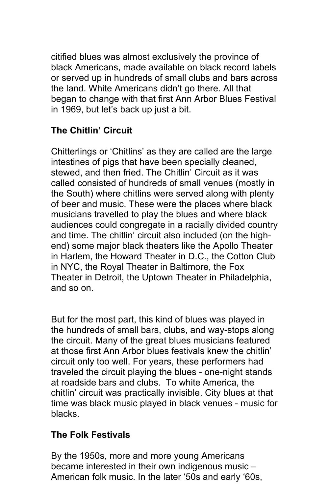citified blues was almost exclusively the province of black Americans, made available on black record labels or served up in hundreds of small clubs and bars across the land. White Americans didn't go there. All that began to change with that first Ann Arbor Blues Festival in 1969, but let's back up just a bit.

# **The Chitlin' Circuit**

Chitterlings or 'Chitlins' as they are called are the large intestines of pigs that have been specially cleaned, stewed, and then fried. The Chitlin' Circuit as it was called consisted of hundreds of small venues (mostly in the South) where chitlins were served along with plenty of beer and music. These were the places where black musicians travelled to play the blues and where black audiences could congregate in a racially divided country and time. The chitlin' circuit also included (on the highend) some major black theaters like the Apollo Theater in Harlem, the Howard Theater in D.C., the Cotton Club in NYC, the Royal Theater in Baltimore, the Fox Theater in Detroit, the Uptown Theater in Philadelphia, and so on.

But for the most part, this kind of blues was played in the hundreds of small bars, clubs, and way-stops along the circuit. Many of the great blues musicians featured at those first Ann Arbor blues festivals knew the chitlin' circuit only too well. For years, these performers had traveled the circuit playing the blues - one-night stands at roadside bars and clubs. To white America, the chitlin' circuit was practically invisible. City blues at that time was black music played in black venues - music for blacks.

## **The Folk Festivals**

By the 1950s, more and more young Americans became interested in their own indigenous music – American folk music. In the later '50s and early '60s,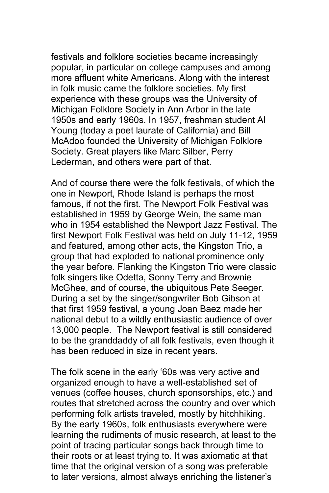festivals and folklore societies became increasingly popular, in particular on college campuses and among more affluent white Americans. Along with the interest in folk music came the folklore societies. My first experience with these groups was the University of Michigan Folklore Society in Ann Arbor in the late 1950s and early 1960s. In 1957, freshman student Al Young (today a poet laurate of California) and Bill McAdoo founded the University of Michigan Folklore Society. Great players like Marc Silber, Perry Lederman, and others were part of that.

And of course there were the folk festivals, of which the one in Newport, Rhode Island is perhaps the most famous, if not the first. The Newport Folk Festival was established in 1959 by George Wein, the same man who in 1954 established the Newport Jazz Festival. The first Newport Folk Festival was held on July 11-12, 1959 and featured, among other acts, the Kingston Trio, a group that had exploded to national prominence only the year before. Flanking the Kingston Trio were classic folk singers like Odetta, Sonny Terry and Brownie McGhee, and of course, the ubiquitous Pete Seeger. During a set by the singer/songwriter Bob Gibson at that first 1959 festival, a young Joan Baez made her national debut to a wildly enthusiastic audience of over 13,000 people. The Newport festival is still considered to be the granddaddy of all folk festivals, even though it has been reduced in size in recent years.

The folk scene in the early '60s was very active and organized enough to have a well-established set of venues (coffee houses, church sponsorships, etc.) and routes that stretched across the country and over which performing folk artists traveled, mostly by hitchhiking. By the early 1960s, folk enthusiasts everywhere were learning the rudiments of music research, at least to the point of tracing particular songs back through time to their roots or at least trying to. It was axiomatic at that time that the original version of a song was preferable to later versions, almost always enriching the listener's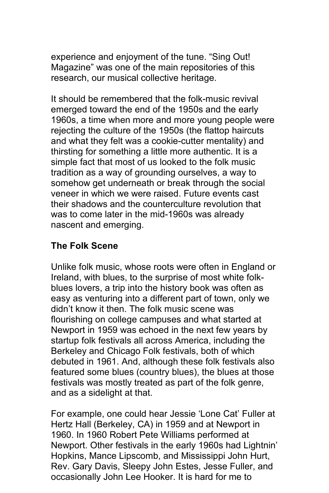experience and enjoyment of the tune. "Sing Out! Magazine" was one of the main repositories of this research, our musical collective heritage.

It should be remembered that the folk-music revival emerged toward the end of the 1950s and the early 1960s, a time when more and more young people were rejecting the culture of the 1950s (the flattop haircuts and what they felt was a cookie-cutter mentality) and thirsting for something a little more authentic. It is a simple fact that most of us looked to the folk music tradition as a way of grounding ourselves, a way to somehow get underneath or break through the social veneer in which we were raised. Future events cast their shadows and the counterculture revolution that was to come later in the mid-1960s was already nascent and emerging.

## **The Folk Scene**

Unlike folk music, whose roots were often in England or Ireland, with blues, to the surprise of most white folkblues lovers, a trip into the history book was often as easy as venturing into a different part of town, only we didn't know it then. The folk music scene was flourishing on college campuses and what started at Newport in 1959 was echoed in the next few years by startup folk festivals all across America, including the Berkeley and Chicago Folk festivals, both of which debuted in 1961. And, although these folk festivals also featured some blues (country blues), the blues at those festivals was mostly treated as part of the folk genre, and as a sidelight at that.

For example, one could hear Jessie 'Lone Cat' Fuller at Hertz Hall (Berkeley, CA) in 1959 and at Newport in 1960. In 1960 Robert Pete Williams performed at Newport. Other festivals in the early 1960s had Lightnin' Hopkins, Mance Lipscomb, and Mississippi John Hurt, Rev. Gary Davis, Sleepy John Estes, Jesse Fuller, and occasionally John Lee Hooker. It is hard for me to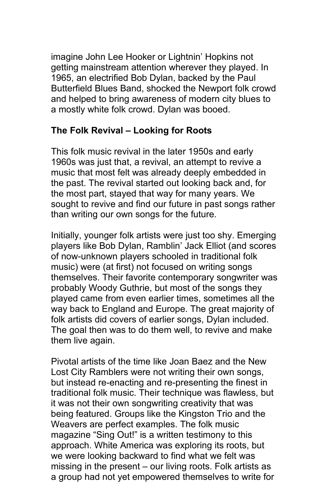imagine John Lee Hooker or Lightnin' Hopkins not getting mainstream attention wherever they played. In 1965, an electrified Bob Dylan, backed by the Paul Butterfield Blues Band, shocked the Newport folk crowd and helped to bring awareness of modern city blues to a mostly white folk crowd. Dylan was booed.

## **The Folk Revival – Looking for Roots**

This folk music revival in the later 1950s and early 1960s was just that, a revival, an attempt to revive a music that most felt was already deeply embedded in the past. The revival started out looking back and, for the most part, stayed that way for many years. We sought to revive and find our future in past songs rather than writing our own songs for the future.

Initially, younger folk artists were just too shy. Emerging players like Bob Dylan, Ramblin' Jack Elliot (and scores of now-unknown players schooled in traditional folk music) were (at first) not focused on writing songs themselves. Their favorite contemporary songwriter was probably Woody Guthrie, but most of the songs they played came from even earlier times, sometimes all the way back to England and Europe. The great majority of folk artists did covers of earlier songs, Dylan included. The goal then was to do them well, to revive and make them live again.

Pivotal artists of the time like Joan Baez and the New Lost City Ramblers were not writing their own songs, but instead re-enacting and re-presenting the finest in traditional folk music. Their technique was flawless, but it was not their own songwriting creativity that was being featured. Groups like the Kingston Trio and the Weavers are perfect examples. The folk music magazine "Sing Out!" is a written testimony to this approach. White America was exploring its roots, but we were looking backward to find what we felt was missing in the present – our living roots. Folk artists as a group had not yet empowered themselves to write for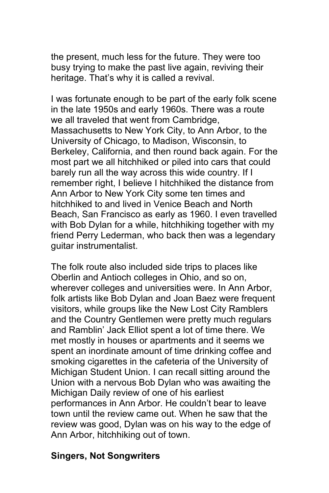the present, much less for the future. They were too busy trying to make the past live again, reviving their heritage. That's why it is called a revival.

I was fortunate enough to be part of the early folk scene in the late 1950s and early 1960s. There was a route we all traveled that went from Cambridge, Massachusetts to New York City, to Ann Arbor, to the University of Chicago, to Madison, Wisconsin, to Berkeley, California, and then round back again. For the most part we all hitchhiked or piled into cars that could barely run all the way across this wide country. If I remember right, I believe I hitchhiked the distance from Ann Arbor to New York City some ten times and hitchhiked to and lived in Venice Beach and North Beach, San Francisco as early as 1960. I even travelled with Bob Dylan for a while, hitchhiking together with my friend Perry Lederman, who back then was a legendary guitar instrumentalist.

The folk route also included side trips to places like Oberlin and Antioch colleges in Ohio, and so on, wherever colleges and universities were. In Ann Arbor, folk artists like Bob Dylan and Joan Baez were frequent visitors, while groups like the New Lost City Ramblers and the Country Gentlemen were pretty much regulars and Ramblin' Jack Elliot spent a lot of time there. We met mostly in houses or apartments and it seems we spent an inordinate amount of time drinking coffee and smoking cigarettes in the cafeteria of the University of Michigan Student Union. I can recall sitting around the Union with a nervous Bob Dylan who was awaiting the Michigan Daily review of one of his earliest performances in Ann Arbor. He couldn't bear to leave town until the review came out. When he saw that the review was good, Dylan was on his way to the edge of Ann Arbor, hitchhiking out of town.

#### **Singers, Not Songwriters**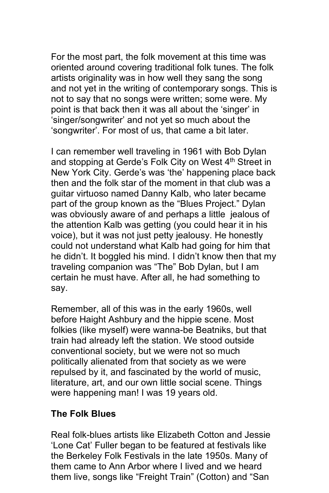For the most part, the folk movement at this time was oriented around covering traditional folk tunes. The folk artists originality was in how well they sang the song and not yet in the writing of contemporary songs. This is not to say that no songs were written; some were. My point is that back then it was all about the 'singer' in 'singer/songwriter' and not yet so much about the 'songwriter'. For most of us, that came a bit later.

I can remember well traveling in 1961 with Bob Dylan and stopping at Gerde's Folk City on West 4<sup>th</sup> Street in New York City. Gerde's was 'the' happening place back then and the folk star of the moment in that club was a guitar virtuoso named Danny Kalb, who later became part of the group known as the "Blues Project." Dylan was obviously aware of and perhaps a little jealous of the attention Kalb was getting (you could hear it in his voice), but it was not just petty jealousy. He honestly could not understand what Kalb had going for him that he didn't. It boggled his mind. I didn't know then that my traveling companion was "The" Bob Dylan, but I am certain he must have. After all, he had something to say.

Remember, all of this was in the early 1960s, well before Haight Ashbury and the hippie scene. Most folkies (like myself) were wanna-be Beatniks, but that train had already left the station. We stood outside conventional society, but we were not so much politically alienated from that society as we were repulsed by it, and fascinated by the world of music, literature, art, and our own little social scene. Things were happening man! I was 19 years old.

#### **The Folk Blues**

Real folk-blues artists like Elizabeth Cotton and Jessie 'Lone Cat' Fuller began to be featured at festivals like the Berkeley Folk Festivals in the late 1950s. Many of them came to Ann Arbor where I lived and we heard them live, songs like "Freight Train" (Cotton) and "San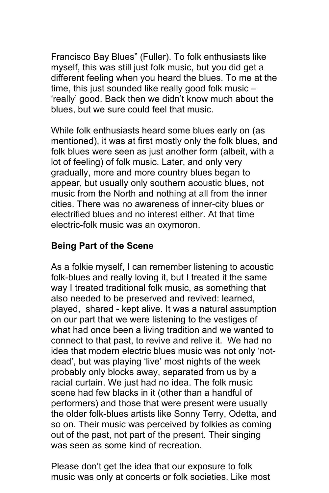Francisco Bay Blues" (Fuller). To folk enthusiasts like myself, this was still just folk music, but you did get a different feeling when you heard the blues. To me at the time, this just sounded like really good folk music – 'really' good. Back then we didn't know much about the blues, but we sure could feel that music.

While folk enthusiasts heard some blues early on (as mentioned), it was at first mostly only the folk blues, and folk blues were seen as just another form (albeit, with a lot of feeling) of folk music. Later, and only very gradually, more and more country blues began to appear, but usually only southern acoustic blues, not music from the North and nothing at all from the inner cities. There was no awareness of inner-city blues or electrified blues and no interest either. At that time electric-folk music was an oxymoron.

## **Being Part of the Scene**

As a folkie myself, I can remember listening to acoustic folk-blues and really loving it, but I treated it the same way I treated traditional folk music, as something that also needed to be preserved and revived: learned, played, shared - kept alive. It was a natural assumption on our part that we were listening to the vestiges of what had once been a living tradition and we wanted to connect to that past, to revive and relive it. We had no idea that modern electric blues music was not only 'notdead', but was playing 'live' most nights of the week probably only blocks away, separated from us by a racial curtain. We just had no idea. The folk music scene had few blacks in it (other than a handful of performers) and those that were present were usually the older folk-blues artists like Sonny Terry, Odetta, and so on. Their music was perceived by folkies as coming out of the past, not part of the present. Their singing was seen as some kind of recreation.

Please don't get the idea that our exposure to folk music was only at concerts or folk societies. Like most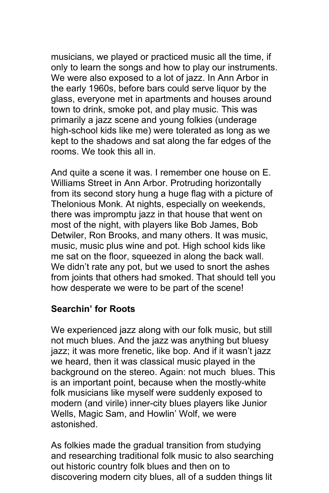musicians, we played or practiced music all the time, if only to learn the songs and how to play our instruments. We were also exposed to a lot of jazz. In Ann Arbor in the early 1960s, before bars could serve liquor by the glass, everyone met in apartments and houses around town to drink, smoke pot, and play music. This was primarily a jazz scene and young folkies (underage high-school kids like me) were tolerated as long as we kept to the shadows and sat along the far edges of the rooms. We took this all in.

And quite a scene it was. I remember one house on E. Williams Street in Ann Arbor. Protruding horizontally from its second story hung a huge flag with a picture of Thelonious Monk. At nights, especially on weekends, there was impromptu jazz in that house that went on most of the night, with players like Bob James, Bob Detwiler, Ron Brooks, and many others. It was music, music, music plus wine and pot. High school kids like me sat on the floor, squeezed in along the back wall. We didn't rate any pot, but we used to snort the ashes from joints that others had smoked. That should tell you how desperate we were to be part of the scene!

### **Searchin' for Roots**

We experienced jazz along with our folk music, but still not much blues. And the jazz was anything but bluesy jazz; it was more frenetic, like bop. And if it wasn't jazz we heard, then it was classical music played in the background on the stereo. Again: not much blues. This is an important point, because when the mostly-white folk musicians like myself were suddenly exposed to modern (and virile) inner-city blues players like Junior Wells, Magic Sam, and Howlin' Wolf, we were astonished.

As folkies made the gradual transition from studying and researching traditional folk music to also searching out historic country folk blues and then on to discovering modern city blues, all of a sudden things lit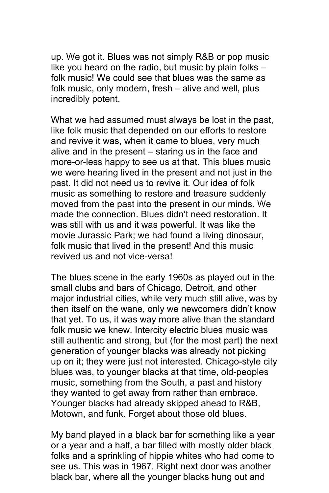up. We got it. Blues was not simply R&B or pop music like you heard on the radio, but music by plain folks – folk music! We could see that blues was the same as folk music, only modern, fresh – alive and well, plus incredibly potent.

What we had assumed must always be lost in the past, like folk music that depended on our efforts to restore and revive it was, when it came to blues, very much alive and in the present – staring us in the face and more-or-less happy to see us at that. This blues music we were hearing lived in the present and not just in the past. It did not need us to revive it. Our idea of folk music as something to restore and treasure suddenly moved from the past into the present in our minds. We made the connection. Blues didn't need restoration. It was still with us and it was powerful. It was like the movie Jurassic Park; we had found a living dinosaur, folk music that lived in the present! And this music revived us and not vice-versa!

The blues scene in the early 1960s as played out in the small clubs and bars of Chicago, Detroit, and other major industrial cities, while very much still alive, was by then itself on the wane, only we newcomers didn't know that yet. To us, it was way more alive than the standard folk music we knew. Intercity electric blues music was still authentic and strong, but (for the most part) the next generation of younger blacks was already not picking up on it; they were just not interested. Chicago-style city blues was, to younger blacks at that time, old-peoples music, something from the South, a past and history they wanted to get away from rather than embrace. Younger blacks had already skipped ahead to R&B, Motown, and funk. Forget about those old blues.

My band played in a black bar for something like a year or a year and a half, a bar filled with mostly older black folks and a sprinkling of hippie whites who had come to see us. This was in 1967. Right next door was another black bar, where all the younger blacks hung out and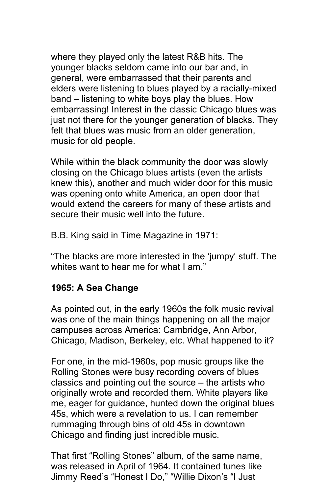where they played only the latest R&B hits. The younger blacks seldom came into our bar and, in general, were embarrassed that their parents and elders were listening to blues played by a racially-mixed band – listening to white boys play the blues. How embarrassing! Interest in the classic Chicago blues was just not there for the younger generation of blacks. They felt that blues was music from an older generation, music for old people.

While within the black community the door was slowly closing on the Chicago blues artists (even the artists knew this), another and much wider door for this music was opening onto white America, an open door that would extend the careers for many of these artists and secure their music well into the future.

B.B. King said in Time Magazine in 1971:

"The blacks are more interested in the 'jumpy' stuff. The whites want to hear me for what I am "

## **1965: A Sea Change**

As pointed out, in the early 1960s the folk music revival was one of the main things happening on all the major campuses across America: Cambridge, Ann Arbor, Chicago, Madison, Berkeley, etc. What happened to it?

For one, in the mid-1960s, pop music groups like the Rolling Stones were busy recording covers of blues classics and pointing out the source – the artists who originally wrote and recorded them. White players like me, eager for guidance, hunted down the original blues 45s, which were a revelation to us. I can remember rummaging through bins of old 45s in downtown Chicago and finding just incredible music.

That first "Rolling Stones" album, of the same name, was released in April of 1964. It contained tunes like Jimmy Reed's "Honest I Do," "Willie Dixon's "I Just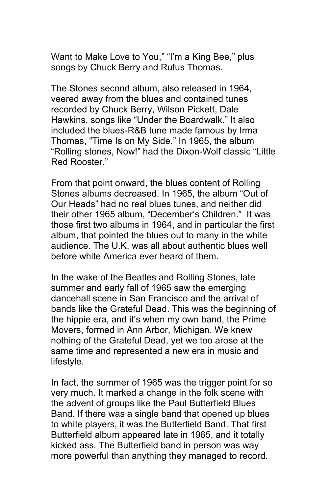Want to Make Love to You," "I'm a King Bee," plus songs by Chuck Berry and Rufus Thomas.

The Stones second album, also released in 1964, veered away from the blues and contained tunes recorded by Chuck Berry, Wilson Pickett, Dale Hawkins, songs like "Under the Boardwalk." It also included the blues-R&B tune made famous by Irma Thomas, "Time Is on My Side." In 1965, the album "Rolling stones, Now!" had the Dixon-Wolf classic "Little Red Rooster."

From that point onward, the blues content of Rolling Stones albums decreased. In 1965, the album "Out of Our Heads" had no real blues tunes, and neither did their other 1965 album, "December's Children." It was those first two albums in 1964, and in particular the first album, that pointed the blues out to many in the white audience. The U.K. was all about authentic blues well before white America ever heard of them.

In the wake of the Beatles and Rolling Stones, late summer and early fall of 1965 saw the emerging dancehall scene in San Francisco and the arrival of bands like the Grateful Dead. This was the beginning of the hippie era, and it's when my own band, the Prime Movers, formed in Ann Arbor, Michigan. We knew nothing of the Grateful Dead, yet we too arose at the same time and represented a new era in music and lifestyle.

In fact, the summer of 1965 was the trigger point for so very much. It marked a change in the folk scene with the advent of groups like the Paul Butterfield Blues Band. If there was a single band that opened up blues to white players, it was the Butterfield Band. That first Butterfield album appeared late in 1965, and it totally kicked ass. The Butterfield band in person was way more powerful than anything they managed to record.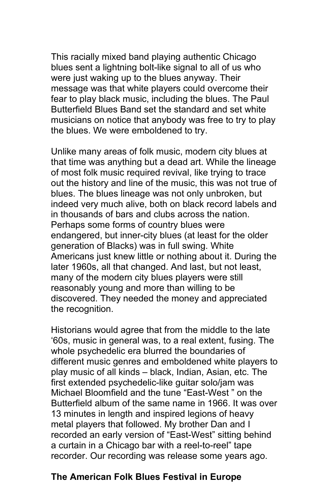This racially mixed band playing authentic Chicago blues sent a lightning bolt-like signal to all of us who were just waking up to the blues anyway. Their message was that white players could overcome their fear to play black music, including the blues. The Paul Butterfield Blues Band set the standard and set white musicians on notice that anybody was free to try to play the blues. We were emboldened to try.

Unlike many areas of folk music, modern city blues at that time was anything but a dead art. While the lineage of most folk music required revival, like trying to trace out the history and line of the music, this was not true of blues. The blues lineage was not only unbroken, but indeed very much alive, both on black record labels and in thousands of bars and clubs across the nation. Perhaps some forms of country blues were endangered, but inner-city blues (at least for the older generation of Blacks) was in full swing. White Americans just knew little or nothing about it. During the later 1960s, all that changed. And last, but not least, many of the modern city blues players were still reasonably young and more than willing to be discovered. They needed the money and appreciated the recognition.

Historians would agree that from the middle to the late '60s, music in general was, to a real extent, fusing. The whole psychedelic era blurred the boundaries of different music genres and emboldened white players to play music of all kinds – black, Indian, Asian, etc. The first extended psychedelic-like guitar solo/jam was Michael Bloomfield and the tune "East-West " on the Butterfield album of the same name in 1966. It was over 13 minutes in length and inspired legions of heavy metal players that followed. My brother Dan and I recorded an early version of "East-West" sitting behind a curtain in a Chicago bar with a reel-to-reel" tape recorder. Our recording was release some years ago.

### **The American Folk Blues Festival in Europe**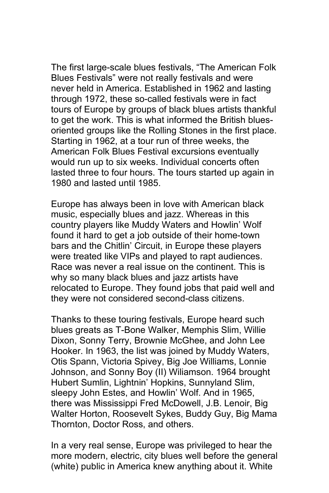The first large-scale blues festivals, "The American Folk Blues Festivals" were not really festivals and were never held in America. Established in 1962 and lasting through 1972, these so-called festivals were in fact tours of Europe by groups of black blues artists thankful to get the work. This is what informed the British bluesoriented groups like the Rolling Stones in the first place. Starting in 1962, at a tour run of three weeks, the American Folk Blues Festival excursions eventually would run up to six weeks. Individual concerts often lasted three to four hours. The tours started up again in 1980 and lasted until 1985.

Europe has always been in love with American black music, especially blues and jazz. Whereas in this country players like Muddy Waters and Howlin' Wolf found it hard to get a job outside of their home-town bars and the Chitlin' Circuit, in Europe these players were treated like VIPs and played to rapt audiences. Race was never a real issue on the continent. This is why so many black blues and jazz artists have relocated to Europe. They found jobs that paid well and they were not considered second-class citizens.

Thanks to these touring festivals, Europe heard such blues greats as T-Bone Walker, Memphis Slim, Willie Dixon, Sonny Terry, Brownie McGhee, and John Lee Hooker. In 1963, the list was joined by Muddy Waters, Otis Spann, Victoria Spivey, Big Joe Williams, Lonnie Johnson, and Sonny Boy (II) Wiliamson. 1964 brought Hubert Sumlin, Lightnin' Hopkins, Sunnyland Slim, sleepy John Estes, and Howlin' Wolf. And in 1965, there was Mississippi Fred McDowell, J.B. Lenoir, Big Walter Horton, Roosevelt Sykes, Buddy Guy, Big Mama Thornton, Doctor Ross, and others.

In a very real sense, Europe was privileged to hear the more modern, electric, city blues well before the general (white) public in America knew anything about it. White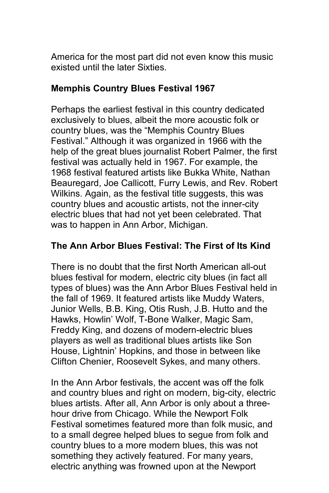America for the most part did not even know this music existed until the later Sixties.

## **Memphis Country Blues Festival 1967**

Perhaps the earliest festival in this country dedicated exclusively to blues, albeit the more acoustic folk or country blues, was the "Memphis Country Blues Festival." Although it was organized in 1966 with the help of the great blues journalist Robert Palmer, the first festival was actually held in 1967. For example, the 1968 festival featured artists like Bukka White, Nathan Beauregard, Joe Callicott, Furry Lewis, and Rev. Robert Wilkins. Again, as the festival title suggests, this was country blues and acoustic artists, not the inner-city electric blues that had not yet been celebrated. That was to happen in Ann Arbor, Michigan.

## **The Ann Arbor Blues Festival: The First of Its Kind**

There is no doubt that the first North American all-out blues festival for modern, electric city blues (in fact all types of blues) was the Ann Arbor Blues Festival held in the fall of 1969. It featured artists like Muddy Waters, Junior Wells, B.B. King, Otis Rush, J.B. Hutto and the Hawks, Howlin' Wolf, T-Bone Walker, Magic Sam, Freddy King, and dozens of modern-electric blues players as well as traditional blues artists like Son House, Lightnin' Hopkins, and those in between like Clifton Chenier, Roosevelt Sykes, and many others.

In the Ann Arbor festivals, the accent was off the folk and country blues and right on modern, big-city, electric blues artists. After all, Ann Arbor is only about a threehour drive from Chicago. While the Newport Folk Festival sometimes featured more than folk music, and to a small degree helped blues to segue from folk and country blues to a more modern blues, this was not something they actively featured. For many years, electric anything was frowned upon at the Newport